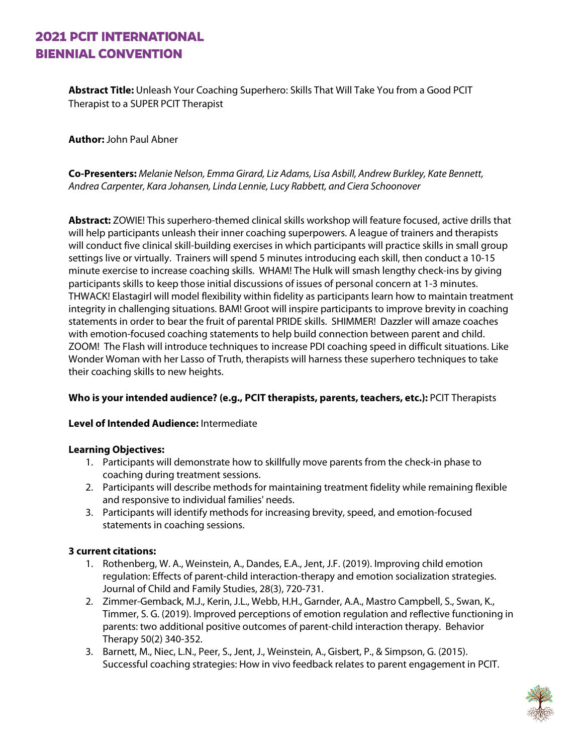# **2021 PCIT INTERNATIONAL BIENNIAL CONVENTION**

**Abstract Title:** Unleash Your Coaching Superhero: Skills That Will Take You from a Good PCIT Therapist to a SUPER PCIT Therapist

**Author:** John Paul Abner

**Co-Presenters:** *Melanie Nelson, Emma Girard, Liz Adams, Lisa Asbill, Andrew Burkley, Kate Bennett, Andrea Carpenter, Kara Johansen, Linda Lennie, Lucy Rabbett, and Ciera Schoonover*

**Abstract:** ZOWIE! This superhero-themed clinical skills workshop will feature focused, active drills that will help participants unleash their inner coaching superpowers. A league of trainers and therapists will conduct five clinical skill-building exercises in which participants will practice skills in small group settings live or virtually. Trainers will spend 5 minutes introducing each skill, then conduct a 10-15 minute exercise to increase coaching skills. WHAM! The Hulk will smash lengthy check-ins by giving participants skills to keep those initial discussions of issues of personal concern at 1-3 minutes. THWACK! Elastagirl will model flexibility within fidelity as participants learn how to maintain treatment integrity in challenging situations. BAM! Groot will inspire participants to improve brevity in coaching statements in order to bear the fruit of parental PRIDE skills. SHIMMER! Dazzler will amaze coaches with emotion-focused coaching statements to help build connection between parent and child. ZOOM! The Flash will introduce techniques to increase PDI coaching speed in difficult situations. Like Wonder Woman with her Lasso of Truth, therapists will harness these superhero techniques to take their coaching skills to new heights.

### **Who is your intended audience? (e.g., PCIT therapists, parents, teachers, etc.):** PCIT Therapists

#### **Level of Intended Audience:** Intermediate

#### **Learning Objectives:**

- 1. Participants will demonstrate how to skillfully move parents from the check-in phase to coaching during treatment sessions.
- 2. Participants will describe methods for maintaining treatment fidelity while remaining flexible and responsive to individual families' needs.
- 3. Participants will identify methods for increasing brevity, speed, and emotion-focused statements in coaching sessions.

#### **3 current citations:**

- 1. Rothenberg, W. A., Weinstein, A., Dandes, E.A., Jent, J.F. (2019). Improving child emotion regulation: Effects of parent-child interaction-therapy and emotion socialization strategies. Journal of Child and Family Studies, 28(3), 720-731.
- 2. Zimmer-Gemback, M.J., Kerin, J.L., Webb, H.H., Garnder, A.A., Mastro Campbell, S., Swan, K., Timmer, S. G. (2019). Improved perceptions of emotion regulation and reflective functioning in parents: two additional positive outcomes of parent-child interaction therapy. Behavior Therapy 50(2) 340-352.
- 3. Barnett, M., Niec, L.N., Peer, S., Jent, J., Weinstein, A., Gisbert, P., & Simpson, G. (2015). Successful coaching strategies: How in vivo feedback relates to parent engagement in PCIT.